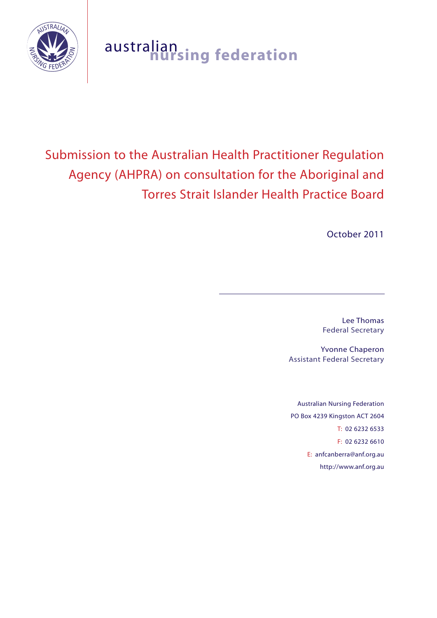

# australian **nursing federation**

# Submission to the Australian Health Practitioner Regulation Agency (AHPRA) on consultation for the Aboriginal and Torres Strait Islander Health Practice Board

October 2011

Lee Thomas Federal Secretary

Yvonne Chaperon Assistant Federal Secretary

Australian Nursing Federation PO Box 4239 Kingston ACT 2604 T: 02 6232 6533 F: 02 6232 6610 E: anfcanberra@anf.org.au http://www.anf.org.au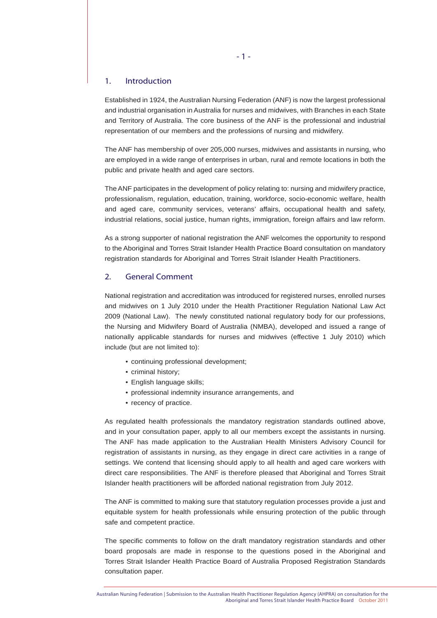#### 1. Introduction

Established in 1924, the Australian Nursing Federation (ANF) is now the largest professional and industrial organisation in Australia for nurses and midwives, with Branches in each State and Territory of Australia. The core business of the ANF is the professional and industrial representation of our members and the professions of nursing and midwifery.

The ANF has membership of over 205,000 nurses, midwives and assistants in nursing, who are employed in a wide range of enterprises in urban, rural and remote locations in both the public and private health and aged care sectors.

The ANF participates in the development of policy relating to: nursing and midwifery practice, professionalism, regulation, education, training, workforce, socio-economic welfare, health and aged care, community services, veterans' affairs, occupational health and safety, industrial relations, social justice, human rights, immigration, foreign affairs and law reform.

As a strong supporter of national registration the ANF welcomes the opportunity to respond to the Aboriginal and Torres Strait Islander Health Practice Board consultation on mandatory registration standards for Aboriginal and Torres Strait Islander Health Practitioners.

# 2. General Comment

National registration and accreditation was introduced for registered nurses, enrolled nurses and midwives on 1 July 2010 under the Health Practitioner Regulation National Law Act 2009 (National Law). The newly constituted national regulatory body for our professions, the Nursing and Midwifery Board of Australia (NMBA), developed and issued a range of nationally applicable standards for nurses and midwives (effective 1 July 2010) which include (but are not limited to):

- continuing professional development;
- criminal history;
- English language skills;
- professional indemnity insurance arrangements, and
- recency of practice.

As regulated health professionals the mandatory registration standards outlined above, and in your consultation paper, apply to all our members except the assistants in nursing. The ANF has made application to the Australian Health Ministers Advisory Council for registration of assistants in nursing, as they engage in direct care activities in a range of settings. We contend that licensing should apply to all health and aged care workers with direct care responsibilities. The ANF is therefore pleased that Aboriginal and Torres Strait Islander health practitioners will be afforded national registration from July 2012.

The ANF is committed to making sure that statutory regulation processes provide a just and equitable system for health professionals while ensuring protection of the public through safe and competent practice.

The specific comments to follow on the draft mandatory registration standards and other board proposals are made in response to the questions posed in the Aboriginal and Torres Strait Islander Health Practice Board of Australia Proposed Registration Standards consultation paper.

Australian Nursing Federation | Submission to the Australian Health Practitioner Regulation Agency (AHPRA) on consultation for the Aboriginal and Torres Strait Islander Health Practice Board October 2011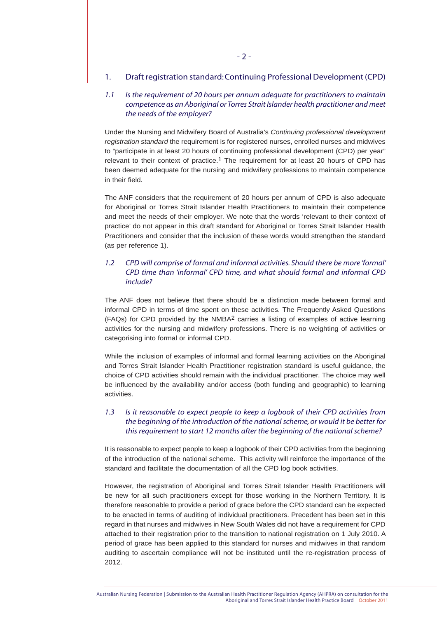#### 1. Draft registration standard: Continuing Professional Development (CPD)

# *1.1 Is the requirement of 20 hours per annum adequate for practitioners to maintain competence as an Aboriginal or Torres Strait Islander health practitioner and meet the needs of the employer?*

Under the Nursing and Midwifery Board of Australia's *Continuing professional development registration standard* the requirement is for registered nurses, enrolled nurses and midwives to "participate in at least 20 hours of continuing professional development (CPD) per year" relevant to their context of practice.<sup>1</sup> The requirement for at least 20 hours of CPD has been deemed adequate for the nursing and midwifery professions to maintain competence in their field.

The ANF considers that the requirement of 20 hours per annum of CPD is also adequate for Aboriginal or Torres Strait Islander Health Practitioners to maintain their competence and meet the needs of their employer. We note that the words 'relevant to their context of practice' do not appear in this draft standard for Aboriginal or Torres Strait Islander Health Practitioners and consider that the inclusion of these words would strengthen the standard (as per reference 1).

# *1.2 CPD will comprise of formal and informal activities. Should there be more 'formal' CPD time than 'informal' CPD time, and what should formal and informal CPD include?*

The ANF does not believe that there should be a distinction made between formal and informal CPD in terms of time spent on these activities. The Frequently Asked Questions  $(FAQs)$  for CPD provided by the NMBA<sup>2</sup> carries a listing of examples of active learning activities for the nursing and midwifery professions. There is no weighting of activities or categorising into formal or informal CPD.

While the inclusion of examples of informal and formal learning activities on the Aboriginal and Torres Strait Islander Health Practitioner registration standard is useful guidance, the choice of CPD activities should remain with the individual practitioner. The choice may well be influenced by the availability and/or access (both funding and geographic) to learning activities.

# *1.3 Is it reasonable to expect people to keep a logbook of their CPD activities from the beginning of the introduction of the national scheme, or would it be better for this requirement to start 12 months after the beginning of the national scheme?*

It is reasonable to expect people to keep a logbook of their CPD activities from the beginning of the introduction of the national scheme. This activity will reinforce the importance of the standard and facilitate the documentation of all the CPD log book activities.

However, the registration of Aboriginal and Torres Strait Islander Health Practitioners will be new for all such practitioners except for those working in the Northern Territory. It is therefore reasonable to provide a period of grace before the CPD standard can be expected to be enacted in terms of auditing of individual practitioners. Precedent has been set in this regard in that nurses and midwives in New South Wales did not have a requirement for CPD attached to their registration prior to the transition to national registration on 1 July 2010. A period of grace has been applied to this standard for nurses and midwives in that random auditing to ascertain compliance will not be instituted until the re-registration process of 2012.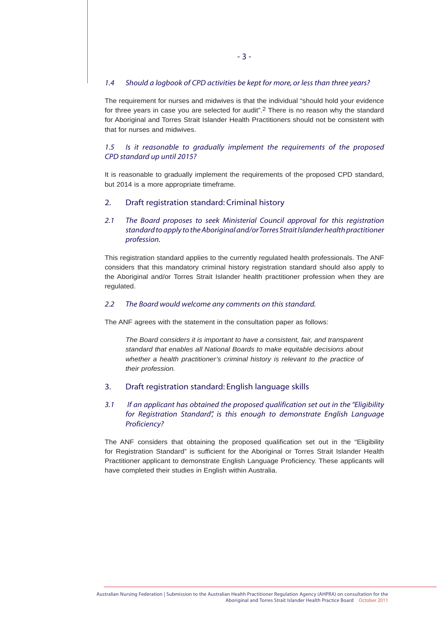#### *1.4 Should a logbook of CPD activities be kept for more, or less than three years?*

The requirement for nurses and midwives is that the individual "should hold your evidence for three years in case you are selected for audit".<sup>2</sup> There is no reason why the standard for Aboriginal and Torres Strait Islander Health Practitioners should not be consistent with that for nurses and midwives.

## *1.5 Is it reasonable to gradually implement the requirements of the proposed CPD standard up until 2015?*

It is reasonable to gradually implement the requirements of the proposed CPD standard, but 2014 is a more appropriate timeframe.

#### 2. Draft registration standard: Criminal history

*2.1 The Board proposes to seek Ministerial Council approval for this registration standard to apply to the Aboriginal and/or Torres Strait Islander health practitioner profession.*

This registration standard applies to the currently regulated health professionals. The ANF considers that this mandatory criminal history registration standard should also apply to the Aboriginal and/or Torres Strait Islander health practitioner profession when they are regulated.

#### *2.2 The Board would welcome any comments on this standard.*

The ANF agrees with the statement in the consultation paper as follows:

*The Board considers it is important to have a consistent, fair, and transparent standard that enables all National Boards to make equitable decisions about whether a health practitioner's criminal history is relevant to the practice of their profession.*

#### 3. Draft registration standard: English language skills

# *3.1 If an applicant has obtained the proposed qualification set out in the "Eligibility for Registration Standard", is this enough to demonstrate English Language Proficiency?*

The ANF considers that obtaining the proposed qualification set out in the "Eligibility for Registration Standard" is sufficient for the Aboriginal or Torres Strait Islander Health Practitioner applicant to demonstrate English Language Proficiency. These applicants will have completed their studies in English within Australia.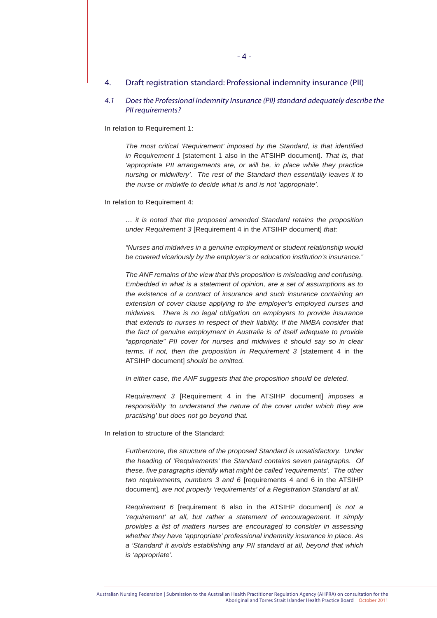#### 4. Draft registration standard: Professional indemnity insurance (PII)

#### *4.1 Does the Professional Indemnity Insurance (PII) standard adequately describe the PII requirements?*

In relation to Requirement 1:

*The most critical 'Requirement' imposed by the Standard, is that identified in Requirement 1* [statement 1 also in the ATSIHP document]. *That is, that*  'appropriate PII arrangements are, or will be, in place while they practice *nursing or midwifery'. The rest of the Standard then essentially leaves it to the nurse or midwife to decide what is and is not 'appropriate'.*

In relation to Requirement 4:

*… it is noted that the proposed amended Standard retains the proposition under Requirement 3* [Requirement 4 in the ATSIHP document] *that:*

*"Nurses and midwives in a genuine employment or student relationship would be covered vicariously by the employer's or education institution's insurance."*

*The ANF remains of the view that this proposition is misleading and confusing. Embedded in what is a statement of opinion, are a set of assumptions as to the existence of a contract of insurance and such insurance containing an extension of cover clause applying to the employer's employed nurses and midwives. There is no legal obligation on employers to provide insurance that extends to nurses in respect of their liability. If the NMBA consider that the fact of genuine employment in Australia is of itself adequate to provide "appropriate" PII cover for nurses and midwives it should say so in clear terms. If not, then the proposition in Requirement 3* [statement 4 in the ATSIHP document] *should be omitted.* 

*In either case, the ANF suggests that the proposition should be deleted.*

*Requirement 3* [Requirement 4 in the ATSIHP document] *imposes a responsibility 'to understand the nature of the cover under which they are practising' but does not go beyond that.*

In relation to structure of the Standard:

*Furthermore, the structure of the proposed Standard is unsatisfactory. Under the heading of 'Requirements' the Standard contains seven paragraphs. Of these, five paragraphs identify what might be called 'requirements'. The other two requirements, numbers 3 and 6* [requirements 4 and 6 in the ATSIHP document]*, are not properly 'requirements' of a Registration Standard at all.*

*Requirement 6* [requirement 6 also in the ATSIHP document] *is not a 'requirement' at all, but rather a statement of encouragement. It simply provides a list of matters nurses are encouraged to consider in assessing whether they have 'appropriate' professional indemnity insurance in place. As a 'Standard' it avoids establishing any PII standard at all, beyond that which is 'appropriate'.*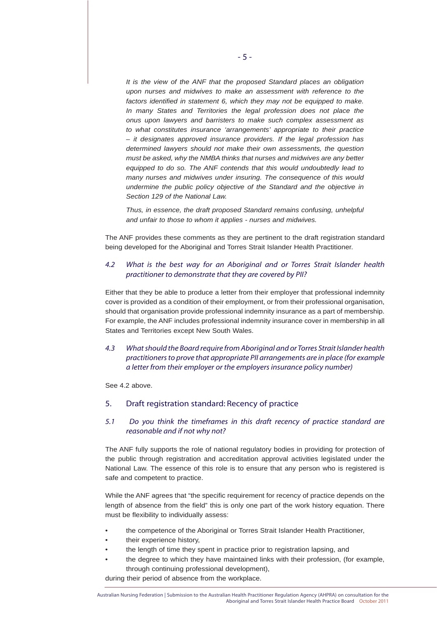*It is the view of the ANF that the proposed Standard places an obligation upon nurses and midwives to make an assessment with reference to the factors identified in statement 6, which they may not be equipped to make. In many States and Territories the legal profession does not place the onus upon lawyers and barristers to make such complex assessment as to what constitutes insurance 'arrangements' appropriate to their practice – it designates approved insurance providers. If the legal profession has determined lawyers should not make their own assessments, the question must be asked, why the NMBA thinks that nurses and midwives are any better equipped to do so. The ANF contends that this would undoubtedly lead to many nurses and midwives under insuring. The consequence of this would undermine the public policy objective of the Standard and the objective in Section 129 of the National Law.*

*Thus, in essence, the draft proposed Standard remains confusing, unhelpful and unfair to those to whom it applies - nurses and midwives.*

The ANF provides these comments as they are pertinent to the draft registration standard being developed for the Aboriginal and Torres Strait Islander Health Practitioner.

#### *4.2 What is the best way for an Aboriginal and or Torres Strait Islander health practitioner to demonstrate that they are covered by PII?*

Either that they be able to produce a letter from their employer that professional indemnity cover is provided as a condition of their employment, or from their professional organisation, should that organisation provide professional indemnity insurance as a part of membership. For example, the ANF includes professional indemnity insurance cover in membership in all States and Territories except New South Wales.

*4.3 What should the Board require from Aboriginal and or Torres Strait Islander health practitioners to prove that appropriate PII arrangements are in place (for example a letter from their employer or the employers insurance policy number)*

See 4.2 above.

#### 5. Draft registration standard: Recency of practice

# *5.1 Do you think the timeframes in this draft recency of practice standard are reasonable and if not why not?*

The ANF fully supports the role of national regulatory bodies in providing for protection of the public through registration and accreditation approval activities legislated under the National Law. The essence of this role is to ensure that any person who is registered is safe and competent to practice.

While the ANF agrees that "the specific requirement for recency of practice depends on the length of absence from the field" this is only one part of the work history equation. There must be flexibility to individually assess:

- the competence of the Aboriginal or Torres Strait Islander Health Practitioner,
- their experience history,
- the length of time they spent in practice prior to registration lapsing, and
- the degree to which they have maintained links with their profession, (for example, through continuing professional development),

during their period of absence from the workplace.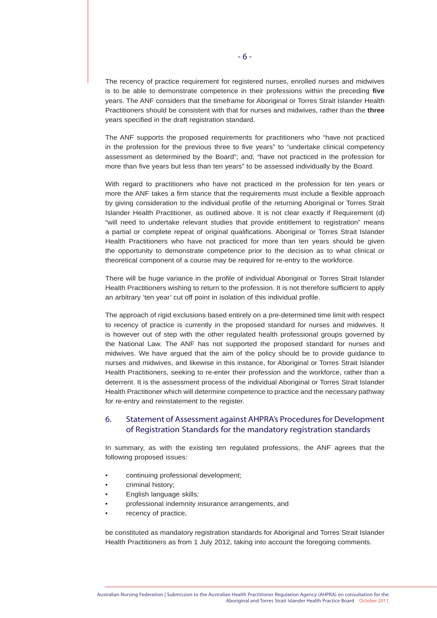The recency of practice requirement for registered nurses, enrolled nurses and midwives is to be able to demonstrate competence in their professions within the preceding **five** years. The ANF considers that the timeframe for Aboriginal or Torres Strait Islander Health Practitioners should be consistent with that for nurses and midwives, rather than the **three** years specified in the draft registration standard.

The ANF supports the proposed requirements for practitioners who "have not practiced in the profession for the previous three to five years" to "undertake clinical competency assessment as determined by the Board"; and, "have not practiced in the profession for more than five years but less than ten years" to be assessed individually by the Board.

With regard to practitioners who have not practiced in the profession for ten years or more the ANF takes a firm stance that the requirements must include a flexible approach by giving consideration to the individual profile of the returning Aboriginal or Torres Strait Islander Health Practitioner, as outlined above. It is not clear exactly if Requirement (d) "will need to undertake relevant studies that provide entitlement to registration" means a partial or complete repeat of original qualifications. Aboriginal or Torres Strait Islander Health Practitioners who have not practiced for more than ten years should be given the opportunity to demonstrate competence prior to the decision as to what clinical or theoretical component of a course may be required for re-entry to the workforce.

There will be huge variance in the profile of individual Aboriginal or Torres Strait Islander Health Practitioners wishing to return to the profession. It is not therefore sufficient to apply an arbitrary 'ten year' cut off point in isolation of this individual profile.

The approach of rigid exclusions based entirely on a pre-determined time limit with respect to recency of practice is currently in the proposed standard for nurses and midwives. It is however out of step with the other regulated health professional groups governed by the National Law. The ANF has not supported the proposed standard for nurses and midwives. We have argued that the aim of the policy should be to provide guidance to nurses and midwives, and likewise in this instance, for Aboriginal or Torres Strait Islander Health Practitioners, seeking to re-enter their profession and the workforce, rather than a deterrent. It is the assessment process of the individual Aboriginal or Torres Strait Islander Health Practitioner which will determine competence to practice and the necessary pathway for re-entry and reinstatement to the register.

# 6. Statement of Assessment against AHPRA's Procedures for Development of Registration Standards for the mandatory registration standards

In summary, as with the existing ten regulated professions, the ANF agrees that the following proposed issues:

- continuing professional development;
- criminal history;
- English language skills;
- professional indemnity insurance arrangements, and
- recency of practice,

be constituted as mandatory registration standards for Aboriginal and Torres Strait Islander Health Practitioners as from 1 July 2012, taking into account the foregoing comments.